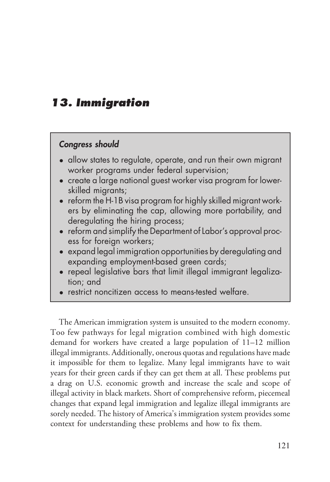# **13. Immigration**

- **13. Immigration**<br> **Congress should**<br>
 allow states to regulate, operate, and run their own migrant<br>
worker programs under federal supervision; **3. Immigration**<br> **Congress should**<br>
• allow states to regulate, operate, and run their own migrant<br>
• worker programs under federal supervision;<br>
• create a larae national auest worker visa program for lower**outing**<br>were set to the programs under federal supervision;<br>worker programs under federal supervision;<br>create a large national guest worker visa program for<br>skilled migrants; **€**<br>• allow states to regulate, operate, and run their own migrant<br>• worker programs under federal supervision;<br>• create a large national guest worker visa program for lower-<br>• skilled migrants;<br>• reform the H-1B visa pro **ording the skilled migress should**<br>allow states to regulate<br>worker programs unde<br>create a large national<br>skilled migrants;<br>reform the H-1B visa pro<br>ers by eliminatina the
	-
	- **Congress should**<br>
	 allow states to regulate, operate, and run their own migrant<br>
	worker programs under federal supervision;<br>
	 create a large national guest worker visa program for lower-<br>
	skilled migrants;<br>
	 reform the allow states to regulate, operate, and run their own migrant<br>worker programs under federal supervision;<br>create a large national guest worker visa program for lower-<br>skilled migrants;<br>reform the H-1B visa program for highly dilow sides to regulate, operate, and r<br>worker programs under federal superv<br>create a large national guest worker vis<br>skilled migrants;<br>reform the H-1B visa program for highly<br>ers by eliminating the cap, allowing r<br>deregul • create a large national guest worker visa program for lower-<br>skilled migrants;<br>• reform the H-1B visa program for highly skilled migrant work-<br>ers by eliminating the cap, allowing more portability, and<br>deregulating the h create a large national guest w<br>skilled migrants;<br>reform the H-1B visa program fa<br>ers by eliminating the cap, al<br>deregulating the hiring proces<br>reform and simplify the Departr<br>ess for foreign workers;<br>expand legal immigrat • reform the H-1B visa program for highly skilled migrant work-<br>ers by eliminating the cap, allowing more portability, and<br>deregulating the hiring process;<br>• reform and simplify the Department of Labor's approval proc-<br>ess reform the FFTB visa program for nighty skilled might<br>ers by eliminating the cap, allowing more portab<br>deregulating the hiring process;<br>reform and simplify the Department of Labor's appro<br>ess for foreign workers;<br>expand le
	- ens by emminaling the cap, anowing more portability, and<br>deregulating the hiring process;<br>• reform and simplify the Department of Labor's approval proc-<br>ess for foreign workers;<br>• expand legal immigration opportunities b deregulating the fifth<br>reform and simplify the<br>expand legal immigro<br>expanding employme<br>repeal legislative bar<br>tion; and<br>restrict noncitizen acc
	- reform and simplify the Department of Labor's approval process for foreign workers;<br>• expand legal immigration opportunities by deregulating a<br>expanding employment-based green cards;<br>• repeal legislative bars that limit
	-
	-

• restrict noncitizen access to means-tested welfare.<br>The American immigration system is unsuited to the modern economy.<br>no few pathways for legal migration combined with high domestic<br>mand for workers have created a large The American immigration system is unsuited to the modern economy.<br>Too few pathways for legal migration combined with high domestic<br>demand for workers have created a large population of 11–12 million<br>illegal immigrants. Ad The American immigration system is unsuited to the modern economy.<br>Too few pathways for legal migration combined with high domestic<br>demand for workers have created a large population of 11–12 million<br>illegal immigrants. Ad The American immigration system is unsuited to the modern economy.<br>Too few pathways for legal migration combined with high domestic<br>demand for workers have created a large population of  $11-12$  million<br>illegal immigrants. Too few pathways for legal migration combined with high domestic<br>demand for workers have created a large population of 11–12 million<br>illegal immigrants. Additionally, onerous quotas and regulations have made<br>it impossible demand for workers have created a large population of 11–12 million<br>illegal immigrants. Additionally, onerous quotas and regulations have made<br>it impossible for them to legalize. Many legal immigrants have to wait<br>years fo illegal immigrants. Additionally, onerous quotas and regulations have made<br>it impossible for them to legalize. Many legal immigrants have to wait<br>years for their green cards if they can get them at all. These problems put<br> it impossible for them to legalize. Many legal immigrants have to wait<br>years for their green cards if they can get them at all. These problems put<br>a drag on U.S. economic growth and increase the scale and scope of<br>illegal years for their green cards if they can get them at all. These problems put<br>a drag on U.S. economic growth and increase the scale and scope of<br>illegal activity in black markets. Short of comprehensive reform, piecemeal<br>cha a drag on U.S. economic growth and increase the scale and scope of illegal activity in black markets. Short of comprehensive reform, piecemeal changes that expand legal immigration and legalize illegal immigrants are sorel illegal activity in black markets. Short of comprehensive reform, piecem<br>changes that expand legal immigration and legalize illegal immigrants<br>sorely needed. The history of America's immigration system provides so<br>context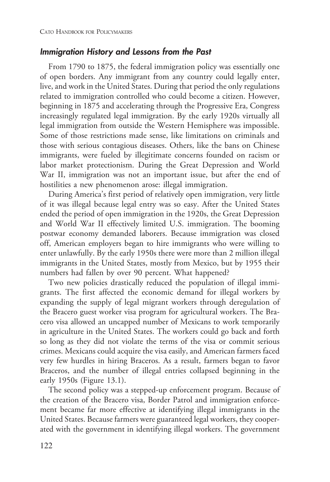CATO HANDBOOK FOR POLICYMAKERS<br> **Immigration History and Lessons from the Past**<br>
From 1790 to 1875, the federal immigration policy was migration History and Lessons from the Past<br>From 1790 to 1875, the federal immigration policy was essentially one<br>open borders. Any immigrant from any country could legally enter,<br>e, and work in the United States. During t **Immigration History and Lessons from the Past**<br>From 1790 to 1875, the federal immigration policy was essentially one<br>of open borders. Any immigrant from any country could legally enter,<br>live, and work in the United States From 1790 to 1875, the federal immigration policy was essentially one<br>of open borders. Any immigrant from any country could legally enter,<br>live, and work in the United States. During that period the only regulations<br>relate From 1790 to 1875, the federal immigration policy was essentially one<br>of open borders. Any immigrant from any country could legally enter,<br>live, and work in the United States. During that period the only regulations<br>relate of open borders. Any immigrant from any country could legally enter,<br>live, and work in the United States. During that period the only regulations<br>related to immigration controlled who could become a citizen. However,<br>begin live, and work in the United States. During that period the only regulations<br>related to immigration controlled who could become a citizen. However,<br>beginning in 1875 and accelerating through the Progressive Era, Congress<br>i related to immigration controlled who could become a citizen. However,<br>beginning in 1875 and accelerating through the Progressive Era, Congress<br>increasingly regulated legal immigration. By the early 1920s virtually all<br>leg beginning in 1875 and accelerating through the Progressive Era, Congress<br>increasingly regulated legal immigration. By the early 1920s virtually all<br>legal immigration from outside the Western Hemisphere was impossible.<br>Some increasingly regulated legal immigration. By the early 1920s virtually all<br>legal immigration from outside the Western Hemisphere was impossible.<br>Some of those restrictions made sense, like limitations on criminals and<br>thos legal immigration from outside the Western Hemisphere was impossible.<br>Some of those restrictions made sense, like limitations on criminals and<br>those with serious contagious diseases. Others, like the bans on Chinese<br>immigr Some of those restrictions made sense, like limitations on criminals and<br>those with serious contagious diseases. Others, like the bans on Chinese<br>immigrants, were fueled by illegitimate concerns founded on racism or<br>labor those with serious contagious diseases. Others, like the bans on Chinese<br>immigrants, were fueled by illegitimate concerns founded on racism or<br>labor market protectionism. During the Great Depression and World<br>War II, immig

immigrants, were fueled by illegitimate concerns founded on labor market protectionism. During the Great Depression a War II, immigration was not an important issue, but after thostilities a new phenomenon arose: illegal i or market protectionism. During the Great Depression and World<br>ar II, immigration was not an important issue, but after the end of<br>stilities a new phenomenon arose: illegal immigration.<br>During America's first period of rel War II, immigration was not an important issue, but after the end of<br>hostilities a new phenomenon arose: illegal immigration.<br>During America's first period of relatively open immigration, very little<br>of it was illegal beca hostilities a new phenomenon arose: illegal immigration.<br>
During America's first period of relatively open immigration, very little<br>
of it was illegal because legal entry was so easy. After the United States<br>
ended the per During America's first period of relatively open immigration, very little<br>of it was illegal because legal entry was so easy. After the United States<br>ended the period of open immigration in the 1920s, the Great Depression<br>a of it was illegal because legal entry was so easy. After the United States<br>ended the period of open immigration in the 1920s, the Great Depression<br>and World War II effectively limited U.S. immigration. The booming<br>postwar ended the period of open immigration in the 1920s, the Great Depression<br>and World War II effectively limited U.S. immigration. The booming<br>postwar economy demanded laborers. Because immigration was closed<br>off, American emp and World War II effectively limited U.S. immigration. The booming<br>postwar economy demanded laborers. Because immigration was closed<br>off, American employers began to hire immigrants who were willing to<br>enter unlawfully. By postwar economy demanded laborers. Because immigration was closed<br>off, American employers began to hire immigrants who were willing to<br>enter unlawfully. By the early 1950s there were more than 2 million illegal<br>immigrants

off, American employers began to hire immigrants who were w<br>enter unlawfully. By the early 1950s there were more than 2 millio<br>immigrants in the United States, mostly from Mexico, but by 19<br>numbers had fallen by over 90 pe ter unlawfully. By the early 1950s there were more than 2 million illegal<br>migrants in the United States, mostly from Mexico, but by 1955 their<br>mbers had fallen by over 90 percent. What happened?<br>Two new policies drasticall immigrants in the United States, mostly from Mexico, but by 1955 their<br>numbers had fallen by over 90 percent. What happened?<br>Two new policies drastically reduced the population of illegal immigrants. The first affected the numbers had fallen by over 90 percent. What happened?<br>
Two new policies drastically reduced the population of illegal immigrants. The first affected the economic demand for illegal workers by expanding the supply of legal Two new policies drastically reduced the population of illegal immigrants. The first affected the economic demand for illegal workers by expanding the supply of legal migrant workers through deregulation of the Bracero gue grants. The first affected the economic demand for illegal workers by<br>expanding the supply of legal migrant workers through deregulation of<br>the Bracero guest worker visa program for agricultural workers. The Bra-<br>cero visa expanding the supply of legal migrant workers through deregulation of<br>the Bracero guest worker visa program for agricultural workers. The Bra-<br>cero visa allowed an uncapped number of Mexicans to work temporarily<br>in agricul the Bracero guest worker visa program for agricultural workers. The Bracero visa allowed an uncapped number of Mexicans to work temporarily in agriculture in the United States. The workers could go back and forth so long a cero visa allowed an uncapped number of Mexicans to work temporarily<br>in agriculture in the United States. The workers could go back and forth<br>so long as they did not violate the terms of the visa or commit serious<br>crimes. in agriculture in the United States. The workers could go back and forth<br>so long as they did not violate the terms of the visa or commit serious<br>crimes. Mexicans could acquire the visa easily, and American farmers faced<br>ve so long as they did not violate the terms of the visa or commit serious<br>crimes. Mexicans could acquire the visa easily, and American farmers faced<br>very few hurdles in hiring Braceros. As a result, farmers began to favor<br>Br

crimes. Mexicans could acquire t<br>very few hurdles in hiring Brac<br>Braceros, and the number of it<br>early 1950s (Figure 13.1).<br>The second policy was a step<br>the creation of the Bracero visa,<br>ment became far more effective<br>Unite ry few hurdles in hiring Braceros. As a result, farmers began to favor acceros, and the number of illegal entries collapsed beginning in the rly 1950s (Figure 13.1).<br>The second policy was a stepped-up enforcement program. Braceros, and the number of illegal entries collapsed beginning in the early 1950s (Figure 13.1).<br>The second policy was a stepped-up enforcement program. Because of the creation of the Bracero visa, Border Patrol and immig early 1950s (Figure 13.1).<br>The second policy was a stepped-up enforcement program. Because of<br>the creation of the Bracero visa, Border Patrol and immigration enforce-<br>ment became far more effective at identifying illegal i The second policy was a stepped-up enforcement program. Because of<br>the creation of the Bracero visa, Border Patrol and immigration enforce-<br>ment became far more effective at identifying illegal immigrants in the<br>United Sta the creation of the Bracero visa, Border Patrol and immigration enforcement became far more effective at identifying illegal immigrants in the United States. Because farmers were guaranteed legal workers, they cooperated w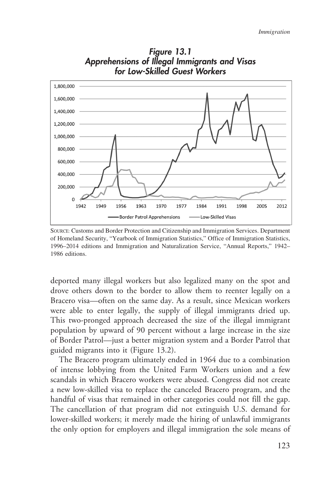

Figure 13.1<br>Figure 13.1<br>Illegal Immigrants and<br>killed Guest Workers *Immigratio*<br>Figure 13.1<br>Apprehensions of Illegal Immigrants and Visas<br>for Low-Skilled Guest Workers Figure 13.1<br>Pensions of Illegal Immigrants and Visas<br>for Low-Skilled Guest Workers

SOURCE: Customs and Border Protection and Citizenship and Immigration Services. Department of Homeland Security, "Yearbook of Immigration Statistics," Office of Immigration Statistics, 1996–2014 editions and Immigration an SOURCE: Customs and Border Protection and Citizenship and Immigration Services. Department<br>of Homeland Security, "Yearbook of Immigration Statistics," Office of Immigration Statistics,<br>1996–2014 editions and Immigration an Source: Customs and Border Protection and Citizenship and Immigration Services. Department<br>of Homeland Security, "Yearbook of Immigration Statistics," Office of Immigration Statistics,<br>1996–2014 editions and Immigration an of Homeland Securi<br>1996–2014 editions<br>1986 editions.<br>deported many<br>drove others do

1986 editions.<br>deported many illegal workers but also legalized many on the spot and<br>drove others down to the border to allow them to reenter legally on a<br>Bracero visa—often on the same day. As a result, since Mexican work deported many illegal workers but also legalized many on the spot and<br>drove others down to the border to allow them to reenter legally on a<br>Bracero visa—often on the same day. As a result, since Mexican workers<br>were able t deported many illegal workers but also legalized many on the spot and<br>drove others down to the border to allow them to reenter legally on a<br>Bracero visa—often on the same day. As a result, since Mexican workers<br>were able t deported many illegal workers but also legalized many on the spot and<br>drove others down to the border to allow them to reenter legally on a<br>Bracero visa—often on the same day. As a result, since Mexican workers<br>were able t drove others down to the border to allow them to reenter legally on a<br>Bracero visa—often on the same day. As a result, since Mexican workers<br>were able to enter legally, the supply of illegal immigrants dried up.<br>This two-p Bracero visa—often on the same day. As a result, since Mexican workers<br>were able to enter legally, the supply of illegal immigrants dried up.<br>This two-pronged approach decreased the size of the illegal immigrant<br>population were able to enter legally, the supply of illegal immigrants dried up.<br>This two-pronged approach decreased the size of the illegal immigrant<br>population by upward of 90 percent without a large increase in the size<br>of Border

This two-pronged approach decreased the<br>population by upward of 90 percent withou<br>of Border Patrol—just a better migration sys<br>guided migrants into it (Figure 13.2).<br>The Bracero program ultimately ended in<br>of intense lobby pulation by upward of 90 percent without a large increase in the size<br>Border Patrol—just a better migration system and a Border Patrol that<br>ided migrants into it (Figure 13.2).<br>The Bracero program ultimately ended in 1964 of Border Patrol—just a better migration system and a Border Patrol that<br>guided migrants into it (Figure 13.2).<br>The Bracero program ultimately ended in 1964 due to a combination<br>of intense lobbying from the United Farm Wor guided migrants into it (Figure 13.2).<br>The Bracero program ultimately ended in 1964 due to a combination<br>of intense lobbying from the United Farm Workers union and a few<br>scandals in which Bracero workers were abused. Congr The Bracero program ultimately ended in 1964 due to a combination<br>of intense lobbying from the United Farm Workers union and a few<br>scandals in which Bracero workers were abused. Congress did not create<br>a new low-skilled vi of intense lobbying from the United Farm Workers union and a few<br>scandals in which Bracero workers were abused. Congress did not create<br>a new low-skilled visa to replace the canceled Bracero program, and the<br>handful of vis scandals in which Bracero workers were abused. Congress did not create<br>a new low-skilled visa to replace the canceled Bracero program, and the<br>handful of visas that remained in other categories could not fill the gap.<br>The a new low-skilled visa to replace the canceled Bracero program, and the handful of visas that remained in other categories could not fill the gap.<br>The cancellation of that program did not extinguish U.S. demand for lower-s handful of visas that remained in other categories could not fill the gap.<br>The cancellation of that program did not extinguish U.S. demand for<br>lower-skilled workers; it merely made the hiring of unlawful immigrants<br>the onl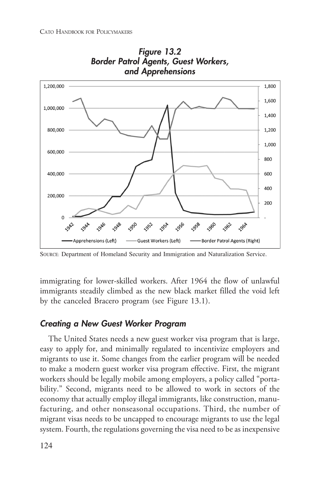

CATO HANDBOOK FOR POLICYMAKERS<br>Figure 13.2 Figure 13.2<br>Figure 13.2<br>Agents, Guest Worker:<br>Apprehensions R POLICYMAKERS<br>**Border Patrol Agents, Guest Workers,<br>and Apprehensions** ERS<br>Figure 13.2<br>atrol Agents, Guest Workers<br>and Apprehensions

Apprehensions (Left) — Guest Workers (Left) — Border Patrol Agents (Right)<br>SOURCE: Department of Homeland Security and Immigration and Naturalization Service.<br>immigrating for lower-skilled workers. After 1964 the flow of u SOURCE: Department of Homeland Security and Immigration and Naturalization Service.<br>
immigrating for lower-skilled workers. After 1964 the flow of unlawful<br>
immigrants steadily climbed as the new black market filled the vo immigrating for lower-skilled workers. After 1964 the flow of unlawful<br>immigrants steadily climbed as the new black market filled the void left<br>by the canceled Bracero program (see Figure 13.1).<br>**Creating a New Guest Worke** immigrating for lower-skilled workers. After 1964 the fl<br>immigrants steadily climbed as the new black market fill<br>by the canceled Bracero program (see Figure 13.1).<br>**Creating a New Guest Worker Program**<br>The United States n immigrating for lower-skilled workers. After 1964 the flow of<br>immigrants steadily climbed as the new black market filled the<br>by the canceled Bracero program (see Figure 13.1).<br>**Creating a New Guest Worker Program**<br>The Unit

**Example 20 Above Guest Worker Program**<br>The United States needs a new guest worker visa program that is large,<br>by to apply for, and minimally regulated to incentivize employers and<br>grants to use it. Some changes from the e **Creating a New Guest Worker Program**<br>The United States needs a new guest worker visa program that is large,<br>easy to apply for, and minimally regulated to incentivize employers and<br>migrants to use it. Some changes from the The United States needs a new guest worker visa program that is large,<br>easy to apply for, and minimally regulated to incentivize employers and<br>migrants to use it. Some changes from the earlier program will be needed<br>to mak The United States needs a new guest worker visa program that is large,<br>easy to apply for, and minimally regulated to incentivize employers and<br>migrants to use it. Some changes from the earlier program will be needed<br>to mak easy to apply for, and minimally regulated to incentivize employers and<br>migrants to use it. Some changes from the earlier program will be needed<br>to make a modern guest worker visa program effective. First, the migrant<br>work migrants to use it. Some changes from the earlier program will be needed<br>to make a modern guest worker visa program effective. First, the migrant<br>workers should be legally mobile among employers, a policy called "porta-<br>bi to make a modern guest worker visa program effective. First, the migrant workers should be legally mobile among employers, a policy called "portability." Second, migrants need to be allowed to work in sectors of the econom workers should be legally mobile among employers, a policy called "portability." Second, migrants need to be allowed to work in sectors of the economy that actually employ illegal immigrants, like construction, manufacturi bility." Second, migrants need to be allowed to work in sectors of the economy that actually employ illegal immigrants, like construction, manu-<br>facturing, and other nonseasonal occupations. Third, the number of migrant vi economy that actually employ illegal immigrants, like construction, manu-<br>facturing, and other nonseasonal occupations. Third, the number of<br>migrant visas needs to be uncapped to encourage migrants to use the legal<br>system.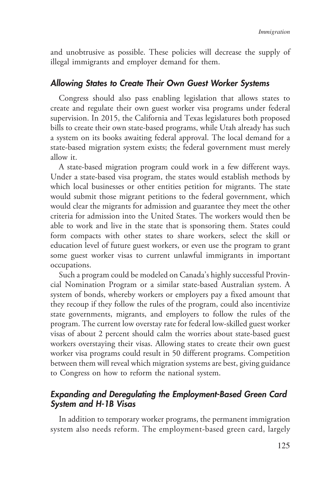*Immigration*<br>and unobtrusive as possible. These policies will decrease the supply of<br>illegal immigrants and employer demand for them.<br>**Allowing States to Create Their Own Guest Worker Systems**<br>Congress should also pass en and unobtrusive as possible. These policies will decrease<br>illegal immigrants and employer demand for them.<br>**Allowing States to Create Their Own Guest Worker**<br>Congress should also pass enabling legislation that a<br>create and Immigration<br>and unobtrusive as possible. These policies will decrease the supply of<br>illegal immigrants and employer demand for them.<br>**Allowing States to Create Their Own Guest Worker Systems**<br>Congress should also pass enab

**Solution States to Create Their Own Guest Worker Systems**<br>Congress should also pass enabling legislation that allows states to<br>tate and regulate their own guest worker visa programs under federal<br>pervision. In 2015, the C **Allowing States to Create Their Own Guest Worker Systems**<br>Congress should also pass enabling legislation that allows states to<br>create and regulate their own guest worker visa programs under federal<br>supervision. In 2015, t Supervision. In 2015, the California and Texas legislation that allows states to create and regulate their own guest worker visa programs under federal supervision. In 2015, the California and Texas legislatures both propo Congress should also pass enabling legislation that allows states to<br>create and regulate their own guest worker visa programs under federal<br>supervision. In 2015, the California and Texas legislatures both proposed<br>bills to create and regulate their own guest worker visa programs under federal<br>supervision. In 2015, the California and Texas legislatures both proposed<br>bills to create their own state-based programs, while Utah already has such<br>a supervision. In 2015, the California and Texas legislatures both proposed<br>bills to create their own state-based programs, while Utah already has such<br>a system on its books awaiting federal approval. The local demand for a<br>

bills to create to<br>a system on it<br>state-based mi<br>allow it.<br>A state-base<br>Under a state-<br>would submit<br>would clear th ystem on its books awaiting federal approval. The local demand for a<br>te-based migration system exists; the federal government must merely<br>ow it.<br>A state-based migration program could work in a few different ways.<br>nder a st state-based migration system exists; the federal government must merely<br>allow it.<br>A state-based migration program could work in a few different ways.<br>Under a state-based visa program, the states would establish methods by<br> allow it.<br>A state-based migration program could work in a few different ways.<br>Under a state-based visa program, the states would establish methods by<br>which local businesses or other entities petition for migrants. The stat A state-based migration program could work in a few different ways.<br>Under a state-based visa program, the states would establish methods by<br>which local businesses or other entities petition for migrants. The state<br>would su Under a state-based visa program, the states would establish methods by<br>which local businesses or other entities petition for migrants. The state<br>would submit those migrant petitions to the federal government, which<br>would which local businesses or other entities petition for migrants. The state<br>would submit those migrant petitions to the federal government, which<br>would clear the migrants for admission and guarantee they meet the other<br>crite would submit those migrant petitions to the federal government, which<br>would clear the migrants for admission and guarantee they meet the other<br>criteria for admission into the United States. The workers would then be<br>able t would clear the migrants for admission and guarantee they meet the other criteria for admission into the United States. The workers would then be able to work and live in the state that is sponsoring them. States could for criteria for admission into the United States. The workers would then be<br>able to work and live in the state that is sponsoring them. States could<br>form compacts with other states to share workers, select the skill or<br>educat able to work and live in the state that is sponsoring them. States could<br>form compacts with other states to share workers, select the skill or<br>education level of future guest workers, or even use the program to grant<br>some occupations.<br>Such a program could be modeled on Canada's highly successful Provin-

education level of future guest workers, or even use the program to grant<br>some guest worker visas to current unlawful immigrants in important<br>occupations.<br>Such a program could be modeled on Canada's highly successful Provi some guest worker visas to current unlawful immigrants in important<br>occupations.<br>Such a program could be modeled on Canada's highly successful Provin-<br>cial Nomination Program or a similar state-based Australian system. A<br>s occupations.<br>Such a program could be modeled on Canada's highly successful Provincial Nomination Program or a similar state-based Australian system. A<br>system of bonds, whereby workers or employers pay a fixed amount that<br>t Such a program could be modeled on Canada's highly successful Provincial Nomination Program or a similar state-based Australian system. A system of bonds, whereby workers or employers pay a fixed amount that they recoup if cial Nomination Program or a similar state-based Australian system. A<br>system of bonds, whereby workers or employers pay a fixed amount that<br>they recoup if they follow the rules of the program, could also incentivize<br>state system of bonds, whereby workers or employers pay a fixed amount that<br>they recoup if they follow the rules of the program, could also incentivize<br>state governments, migrants, and employers to follow the rules of the<br>progra they recoup if they follow the rules of the program, could also incentivize<br>state governments, migrants, and employers to follow the rules of the<br>program. The current low overstay rate for federal low-skilled guest worker<br> state governments, migrants, and employers to follow the rules of the program. The current low overstay rate for federal low-skilled guest worker visas of about 2 percent should calm the worries about state-based guest wor program. The current low overstay rate for federal low-skilled guest worker<br>visas of about 2 percent should calm the worries about state-based guest<br>workers overstaying their visas. Allowing states to create their own gues visas of about 2 percent should calm the worries about state-based guest<br>workers overstaying their visas. Allowing states to create their own guest<br>worker visa programs could result in 50 different programs. Competition<br>be workers overstaying their visas. Allowing states to create the worker visa programs could result in 50 different program<br>between them will reveal which migration systems are best, to Congress on how to reform the national VISAS or about 2 percent should calm the wornes about state-based guest<br>workers overstaying their visas. Allowing states to create their own guest<br>worker visa programs could result in 50 different programs. Competition<br>bet workers overstaying their visas. Alloworker visa programs could result in<br>between them will reveal which might<br>to Congress on how to reform the<br>**Expanding and Deregulating the**<br>**System and H-1B Visas**<br>In addition to tempor

## panding and Deregulating the Employment-Based Green Card<br>
In addition to temporary worker programs, the permanent immigration<br>
In addition to temporary worker programs, the permanent immigration<br>
item also needs reform. Th

**System and H-1B Visas**<br>
In addition to temporary worker programs, the permanent immigration<br>
system also needs reform. The employment-based green card, largely<br>
125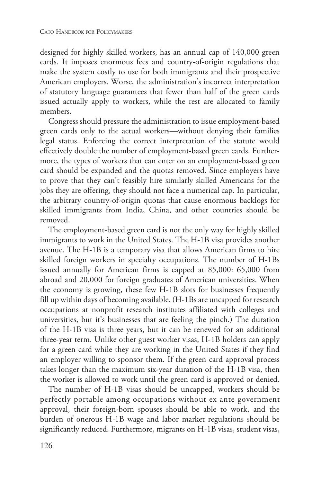CATO HANDBOOK FOR POLICYMAKERS<br>designed for highly skilled workers, has an annual cap of 140,000 green<br>cards. It imposes enormous fees and country-of-origin regulations that<br>make the system costly to use for both immigrant CATO HANDBOOK FOR POLICYMAKERS<br>designed for highly skilled workers, has an annual cap of 140,000 green<br>cards. It imposes enormous fees and country-of-origin regulations that<br>make the system costly to use for both immigrant designed for highly skilled workers, has an annual cap of 140,000 green<br>cards. It imposes enormous fees and country-of-origin regulations that<br>make the system costly to use for both immigrants and their prospective<br>America designed for highly skilled workers, has an annual cap of 140,000 green<br>cards. It imposes enormous fees and country-of-origin regulations that<br>make the system costly to use for both immigrants and their prospective<br>America cards. It imposes enormous fees and country-of-origin regulations that<br>make the system costly to use for both immigrants and their prospective<br>American employers. Worse, the administration's incorrect interpretation<br>of sta make the system costly to use for both immigrants and their prospective<br>American employers. Worse, the administration's incorrect interpretation<br>of statutory language guarantees that fewer than half of the green cards<br>issu members.<br>Congress should pressure the administration to issue employment-based

statutory language guarantees that fewer than half of the green cards<br>ued actually apply to workers, while the rest are allocated to family<br>embers.<br>Congress should pressure the administration to issue employment-based<br>een issued actually apply to workers, while the rest are allocated to family<br>members.<br>Congress should pressure the administration to issue employment-based<br>green cards only to the actual workers—without denying their families<br> members.<br>Congress should pressure the administration to issue employment-based<br>green cards only to the actual workers—without denying their families<br>legal status. Enforcing the correct interpretation of the statute would<br>e green cards only to the actual workers—without denying their families<br>legal status. Enforcing the correct interpretation of the statute would<br>effectively double the number of employment-based green cards. Further-<br>more, th green cards only to the actual workers—without denying their families<br>legal status. Enforcing the correct interpretation of the statute would<br>effectively double the number of employment-based green cards. Further-<br>more, th legal status. Enforcing the correct interpretation of the statute would effectively double the number of employment-based green cards. Furthermore, the types of workers that can enter on an employment-based green card shou effectively double the number of employment-based green cards. Furthermore, the types of workers that can enter on an employment-based green card should be expanded and the quotas removed. Since employers have to prove tha more, the types of workers that can enter on an employment-based green<br>card should be expanded and the quotas removed. Since employers have<br>to prove that they can't feasibly hire similarly skilled Americans for the<br>jobs th card should be expanded and the quotas removed. Since employers have<br>to prove that they can't feasibly hire similarly skilled Americans for the<br>jobs they are offering, they should not face a numerical cap. In particular,<br>t to prove that they can't feasibly hire similarly skilled Americans for the<br>jobs they are offering, they should not face a numerical cap. In particular,<br>the arbitrary country-of-origin quotas that cause enormous backlogs fo removed.<br>The employment-based green card is not the only way for highly skilled

Exemple arbitrary country-of-origin quotas that cause enormous backlogs for<br>lled immigrants from India, China, and other countries should be<br>moved.<br>The employment-based green card is not the only way for highly skilled<br>mig skilled immigrants from India, China, and other countries should be<br>removed.<br>The employment-based green card is not the only way for highly skilled<br>immigrants to work in the United States. The H-1B visa provides another<br>av removed.<br>The employment-based green card is not the only way for highly skilled<br>immigrants to work in the United States. The H-1B visa provides another<br>avenue. The H-1B is a temporary visa that allows American firms to hir immigrants to work in the United States. The H-1B visa provides another avenue. The H-1B is a temporary visa that allows American firms to hire skilled foreign workers in specialty occupations. The number of H-1Bs issued a immigrants to work in the United States. The H-1B visa provides another<br>avenue. The H-1B is a temporary visa that allows American firms to hire<br>skilled foreign workers in specialty occupations. The number of H-1Bs<br>issued a avenue. The H-1B is a temporary visa that allows American firms to hire<br>skilled foreign workers in specialty occupations. The number of H-1Bs<br>issued annually for American firms is capped at 85,000: 65,000 from<br>abroad and 2 skilled foreign workers in specialty occupations. The number of H-1Bs<br>issued annually for American firms is capped at 85,000: 65,000 from<br>abroad and 20,000 for foreign graduates of American universities. When<br>the economy i issued annually for American firms is capped at 85,000: 65,000 from<br>abroad and 20,000 for foreign graduates of American universities. When<br>the economy is growing, these few H-1B slots for businesses frequently<br>fill up with abroad and 20,000 for foreign graduates of American universities. When<br>the economy is growing, these few H-1B slots for businesses frequently<br>fill up within days of becoming available. (H-1Bs are uncapped for research<br>occu the economy is growing, these few H-1B slots for businesses frequently<br>fill up within days of becoming available. (H-1Bs are uncapped for research<br>occupations at nonprofit research institutes affiliated with colleges and<br>u fill up within days of becoming available. (H-1Bs are uncapped for research<br>occupations at nonprofit research institutes affiliated with colleges and<br>universities, but it's businesses that are feeling the pinch.) The durat occupations at nonprofit research institutes affiliated with colleges and<br>universities, but it's businesses that are feeling the pinch.) The duration<br>of the H-1B visa is three years, but it can be renewed for an additional universities, but it's businesses that are feeling the pinch.) The duration<br>of the H-1B visa is three years, but it can be renewed for an additional<br>three-year term. Unlike other guest worker visas, H-1B holders can apply<br> of the H-1B visa is three years, but it can be renewed for an additional<br>three-year term. Unlike other guest worker visas, H-1B holders can apply<br>for a green card while they are working in the United States if they find<br>an three-year term. Unlike other guest worker visas, H-1B holders can apply<br>for a green card while they are working in the United States if they find<br>an employer willing to sponsor them. If the green card approval process<br>tak

for a green card while they are working in the United States if they find<br>an employer willing to sponsor them. If the green card approval process<br>takes longer than the maximum six-year duration of the H-1B visa, then<br>the w employer willing to sponsor them. If the green card approval process<br>tes longer than the maximum six-year duration of the H-1B visa, then<br>e worker is allowed to work until the green card is approved or denied.<br>The number o takes longer than the maximum six-year duration of the H-1B visa, then<br>the worker is allowed to work until the green card is approved or denied.<br>The number of H-1B visas should be uncapped, workers should be<br>perfectly port the worker is allowed to work until the green card is approved or denied.<br>The number of H-1B visas should be uncapped, workers should be perfectly portable among occupations without ex ante government approval, their forei The number of H-1B visas should be uncapped, workers should be perfectly portable among occupations without ex ante government approval, their foreign-born spouses should be able to work, and the burden of onerous H-1B wag perfectly portable among occupations without ex ante government<br>approval, their foreign-born spouses should be able to work, and the<br>burden of onerous H-1B wage and labor market regulations should be<br>significantly reduced.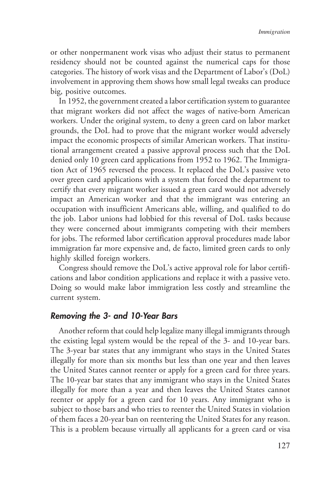Immigration<br>or other nonpermanent work visas who adjust their status to permanent<br>residency should not be counted against the numerical caps for those<br>categories. The history of work visas and the Department of Labor's (Do Immigration<br>Immigration<br>residency should not be counted against the numerical caps for those<br>categories. The history of work visas and the Department of Labor's (DoL)<br>involvement in approving them shows how small legal twe or other nonpermanent work visas who adjust their status to permanent residency should not be counted against the numerical caps for those categories. The history of work visas and the Department of Labor's (DoL) involveme or other nonpermanent work visas who adjust their status to permanent<br>residency should not be counted against the numerical caps for those<br>categories. The history of work visas and the Department of Labor's (DoL)<br>involveme

residency should not be counterpresent categories. The history of worth involvement in approving the big, positive outcomes.<br>In 1952, the government creation in 1952, the government creation workers did no workers. Under t Exercise. The history of work visas and the Department of Labor's (DoL)<br>volvement in approving them shows how small legal tweaks can produce<br>g, positive outcomes.<br>In 1952, the government created a labor certification syste involvement in approving them shows how small legal tweaks can produce<br>big, positive outcomes.<br>In 1952, the government created a labor certification system to guarantee<br>that migrant workers did not affect the wages of nati big, positive outcomes.<br>
In 1952, the government created a labor certification system to guarantee<br>
that migrant workers did not affect the wages of native-born American<br>
workers. Under the original system, to deny a green In 1952, the government created a labor certification system to guarantee<br>that migrant workers did not affect the wages of native-born American<br>workers. Under the original system, to deny a green card on labor market<br>groun that migrant workers did not affect the wages of native-born American<br>workers. Under the original system, to deny a green card on labor market<br>grounds, the DoL had to prove that the migrant worker would adversely<br>impact th workers. Under the original system, to deny a green card on labor market<br>grounds, the DoL had to prove that the migrant worker would adversely<br>impact the economic prospects of similar American workers. That institu-<br>tional grounds, the DoL had to prove that the migrant worker would adversely<br>impact the economic prospects of similar American workers. That institu-<br>tional arrangement created a passive approval process such that the DoL<br>denied impact the economic prospects of similar American workers. That institu-<br>tional arrangement created a passive approval process such that the DoL<br>denied only 10 green card applications from 1952 to 1962. The Immigra-<br>tion A tional arrangement created a passive approval process such that the DoL<br>denied only 10 green card applications from 1952 to 1962. The Immigra-<br>tion Act of 1965 reversed the process. It replaced the DoL's passive veto<br>over denied only 10 green card applications from 1952 to 1962. The Immigration Act of 1965 reversed the process. It replaced the DoL's passive veto over green card applications with a system that forced the department to certif tion Act of 1965 reversed the process. It replaced the DoL's passive veto<br>over green card applications with a system that forced the department to<br>certify that every migrant worker issued a green card would not adversely<br>i over green card applications with a system that forced the department to certify that every migrant worker issued a green card would not adversely impact an American worker and that the immigrant was entering an occupation certify that every migrant worker issued a green card would not adversely<br>impact an American worker and that the immigrant was entering an<br>occupation with insufficient Americans able, willing, and qualified to do<br>the job. impact an American worker and that the immigrant was entering an occupation with insufficient Americans able, willing, and qualified to do the job. Labor unions had lobbied for this reversal of DoL tasks because they were occupation with insufficient Americans able, willing, and qualified to do<br>the job. Labor unions had lobbied for this reversal of DoL tasks because<br>they were concerned about immigrants competing with their members<br>for jobs. the job. Labor unions had lobbied for this reversal of DoL tasks because<br>they were concerned about immigrants competing with their members<br>for jobs. The reformed labor certification approval procedures made labor<br>immigrati they were concerned about immigr<br>for jobs. The reformed labor certifica<br>immigration far more expensive and<br>highly skilled foreign workers.<br>Congress should remove the DoL'<br>cations and labor condition applicati<br>Doing so woul

Consignt in jobs. The reformed labor certification approval procedures made labor<br>migration far more expensive and, de facto, limited green cards to only<br>ghly skilled foreign workers.<br>Congress should remove the DoL's activ immigration far more expensive and, de facto, limited green cards to only<br>highly skilled foreign workers.<br>Congress should remove the DoL's active approval role for labor certifi-<br>cations and labor condition applications an highly skilled foreign workers.<br>
Congress should remove the DoL's active approval role for labor certifications and labor condition applications and replace it with a passive veto.<br>
Doing so would make labor immigration le Congress should recations and labor con<br>Doing so would mal<br>current system.<br>**Removing the 3- cu**<br>Another reform that<br>the existing legal syst highly skilled foreign workers.<br>
Congress should remove the DoL's active approval role for labor certifications and labor condition applications and replace it with a passive veto.<br>
Doing so would make labor immigration le

moving the 3- and 10-Year Bars<br>Another reform that could help legalize many illegal immigrants through<br>existing legal system would be the repeal of the 3- and 10-year bars.<br>existing legal system would be the repeal of the **Removing the 3- and 10-Year Bars**<br>Another reform that could help legalize many illegal immigrants through<br>the existing legal system would be the repeal of the 3- and 10-year bars.<br>The 3-year bar states that any immigrant Another reform that could help legalize many illegal immigrants through<br>the existing legal system would be the repeal of the 3- and 10-year bars.<br>The 3-year bar states that any immigrant who stays in the United States<br>ille Another reform that could help legalize many illegal immigrants through<br>the existing legal system would be the repeal of the 3- and 10-year bars.<br>The 3-year bar states that any immigrant who stays in the United States<br>ille the existing legal system would be the repeal of the 3- and 10-year bars.<br>The 3-year bar states that any immigrant who stays in the United States<br>illegally for more than six months but less than one year and then leaves<br>th The 3-year bar states that any immigrant who stays in the United States<br>illegally for more than six months but less than one year and then leaves<br>the United States cannot reenter or apply for a green card for three years.<br> illegally for more than six months but less than one year and then leaves<br>the United States cannot reenter or apply for a green card for three years.<br>The 10-year bar states that any immigrant who stays in the United States the United States cannot reenter or apply for a green card for three years.<br>The 10-year bar states that any immigrant who stays in the United States<br>illegally for more than a year and then leaves the United States cannot<br>r The 10-year bar states that any immigrant who stays in the United States illegally for more than a year and then leaves the United States cannot reenter or apply for a green card for 10 years. Any immigrant who is subject illegally for more than a year and then leaves the United States cannot<br>reenter or apply for a green card for 10 years. Any immigrant who is<br>subject to those bars and who tries to reenter the United States in violation<br>of reenter or apply for a green card for 10 years. Any immigrant who is<br>subject to those bars and who tries to reenter the United States in violation<br>of them faces a 20-year ban on reentering the United States for any reason.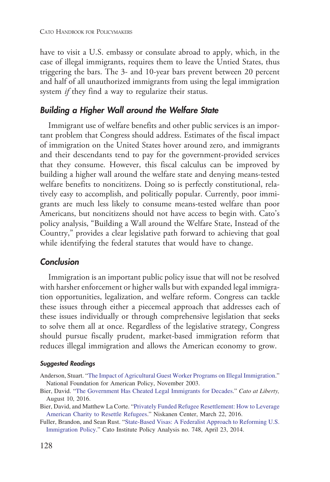CATO HANDBOOK FOR POLICYMAKERS<br>have to visit a U.S. embassy or consulate abroad to apply, which, in the<br>case of illegal immigrants, requires them to leave the Untied States, thus<br>triggering the bars. The 3- and 10-year bar CATO HANDBOOK FOR POLICYMAKERS<br>have to visit a U.S. embassy or consulate abroad to apply, which, in the<br>case of illegal immigrants, requires them to leave the Untied States, thus<br>triggering the bars. The 3- and 10-year bar have to visit a U.S. embassy or consulate abroad to apply, which, in the case of illegal immigrants, requires them to leave the Untied States, thus triggering the bars. The 3- and 10-year bars prevent between 20 percent an have to visit a U.S. embassy or consulate abroad to apply, which, in the case of illegal immigrants, requires them to leave the Untied States, thus triggering the bars. The 3- and 10-year bars prevent between 20 percent an case of illegal immigrants, requires them to leave the Un triggering the bars. The 3- and 10-year bars prevent between and half of all unauthorized immigrants from using the leasy<br>stem *if* they find a way to regularize th have to visit a U.S. embassy or consulate abroad to apply, which,<br>case of illegal immigrants, requires them to leave the Untied State<br>triggering the bars. The 3- and 10-year bars prevent between 20<br>and half of all unauthor

**Interform** *If* they find a way to regularize their status.<br> **Inding a Higher Wall around the Welfare State**<br>
Immigrant use of welfare benefits and other public services is an impor-<br>
at problem that Congress should addr **Building a Higher Wall around the Welfare State**<br>Immigrant use of welfare benefits and other public services is an impor-<br>tant problem that Congress should address. Estimates of the fiscal impact<br>of immigration on the Uni Immigrant use of welfare benefits and other public services is an important problem that Congress should address. Estimates of the fiscal impact of immigration on the United States hover around zero, and immigrants and the Immigrant use of welfare benefits and other public services is an important problem that Congress should address. Estimates of the fiscal impact of immigration on the United States hover around zero, and immigrants and the tant problem that Congress should address. Estimates of the fiscal impact<br>of immigration on the United States hover around zero, and immigrants<br>and their descendants tend to pay for the government-provided services<br>that th of immigration on the United States hover around zero, and immigrants<br>and their descendants tend to pay for the government-provided services<br>that they consume. However, this fiscal calculus can be improved by<br>building a hi and their descendants tend to pay for the government-provided services<br>that they consume. However, this fiscal calculus can be improved by<br>building a higher wall around the welfare state and denying means-tested<br>welfare be that they consume. However, this fiscal calculus can be improved by<br>building a higher wall around the welfare state and denying means-tested<br>welfare benefits to noncitizens. Doing so is perfectly constitutional, rela-<br>tive building a higher wall around the welfare state and denying means-tested welfare benefits to noncitizens. Doing so is perfectly constitutional, relatively easy to accomplish, and politically popular. Currently, poor immigr welfare benefits to noncitizens. Doing so is perfectly constitutional, rela-<br>tively easy to accomplish, and politically popular. Currently, poor immi-<br>grants are much less likely to consume means-tested welfare than poor<br>A tively easy to accomplish, and politically popular. Currently, poor immigrants are much less likely to consume means-tested welfare than poor Americans, but noncitizens should not have access to begin with. Cato's policy a grants are much less likely to consume means-tested welfare than poor<br>Americans, but noncitizens should not have access to begin with. Cato's<br>policy analysis, "Building a Wall around the Welfare State, Instead of the<br>Count Americans, but noncitizens should not have access to begin with. Cate<br>policy analysis, "Building a Wall around the Welfare State, Instead of t<br>Country," provides a clear legislative path forward to achieving that ge<br>while

## Conclusion

**Immigration**<br> **Immigration**<br> **Immigration**<br> **Immigration**<br> **Immigration**<br> **Immigration**<br> **Immigration**<br> **Immigration**<br> **Immigration**<br> **Inherent Commulation**<br> **Internet is an important public policy issue that will not be Conclusion**<br>Immigration is an important public policy issue that will not be resolved<br>with harsher enforcement or higher walls but with expanded legal immigra-<br>tion opportunities, legalization, and welfare reform. Congres Immigration is an important public policy issue that will not be resolved<br>with harsher enforcement or higher walls but with expanded legal immigra-<br>tion opportunities, legalization, and welfare reform. Congress can tackle<br> Immigration is an important public policy issue that will not be resolved<br>with harsher enforcement or higher walls but with expanded legal immigra-<br>tion opportunities, legalization, and welfare reform. Congress can tackle<br> with harsher enforcement or higher walls but with expanded legal immigration opportunities, legalization, and welfare reform. Congress can tackle these issues through either a piecemeal approach that addresses each of thes tion opportunities, legalization, and welfare reform. Congress can tackle<br>these issues through either a piecemeal approach that addresses each of<br>these issues individually or through comprehensive legislation that seeks<br>to theseissues through either a piecemeal approach that addresses each of<br>these issues individually or through comprehensive legislation that seeks<br>to solve them all at once. Regardless of the legislative strategy, Congress<br> theseissues individually or through comprehensive legislation that seeks<br>to solve them all at once. Regardless of the legislative strategy, Congress<br>should pursue fiscally prudent, market-based immigration reform that<br>red these issues individually or through comprehensive legislation that seeks<br>to solve them all at once. Regardless of the legislative strategy, Congress<br>should pursue fiscally prudent, market-based immigration reform that<br>red

- **SuggestedReadings**<br>Anderson, Stuart. "The Impact of Agricultural Guest Worker Programs on Illegal Immigration."<br>National Foundation for American Policy, November 2003.<br>Bier, David. "The Government Has Cheated Legal Immig
- 
- 
- **Suggested Readings**<br>
Anderson, Stuart. "The Impact of Agricultural Guest Worker Programs on Illegal Immigration."<br>
National Foundation for American Policy, November 2003.<br>
Bier, David. "The Government Has Cheated Legal Im Bier, David. "The Government Has Cheated Legal Immigrants for Decades." Cato at Liberty,<br>August 10, 2016.<br>Bier, David, and Matthew La Corte. "Privately Funded Refugee Resettlement: How to Leverage<br>American Charity to Reset Bier,David. "The Government Has Cheated Legal Immigrants for Decades." *Cato at Liberty*, August 10, 2016.<br>Bier, David, and Matthew La Corte. "Privately Funded Refugee Resettlement: How to Leverage American Charity to Res August 10, 2016.<br>
er, David, and Matthew La Corte. "Privately Funded Refugee Resettlement: How to Merican Charity to Resettle Refugees." Niskanen Center, March 22, 2016.<br>
Iler, Brandon, and Sean Rust. "State-Based Visas: A Bier, David, and Matthew La Corte. "Privately Funded Refugee Resettlement: How to Leverage<br>American Charity to Resettle Refugees." Niskanen Center, March 22, 2016.<br>Fuller, Brandon, and Sean Rust. "State-Based Visas: A Fede American Charity to Resettle Refugees." Niskanen Center, March 22, 2016.<br>Iler, Brandon, and Sean Rust. "State-Based Visas: A Federalist Approach to Reform<br>Immigration Policy." Cato Institute Policy Analysis no. 748, April